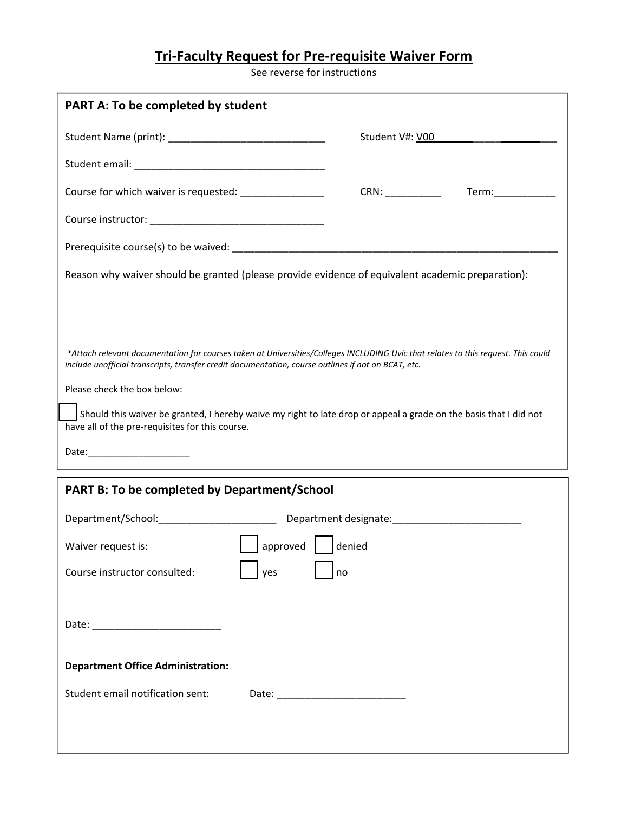## **Tri‐Faculty Request for Pre‐requisite Waiver Form**

See reverse for instructions

| <b>PART A: To be completed by student</b>                                                                                                                                                                                                |                 |                    |
|------------------------------------------------------------------------------------------------------------------------------------------------------------------------------------------------------------------------------------------|-----------------|--------------------|
|                                                                                                                                                                                                                                          | Student V#: V00 |                    |
|                                                                                                                                                                                                                                          |                 |                    |
| Course for which waiver is requested: _________________                                                                                                                                                                                  |                 | Term:_____________ |
|                                                                                                                                                                                                                                          |                 |                    |
|                                                                                                                                                                                                                                          |                 |                    |
| Reason why waiver should be granted (please provide evidence of equivalent academic preparation):                                                                                                                                        |                 |                    |
|                                                                                                                                                                                                                                          |                 |                    |
|                                                                                                                                                                                                                                          |                 |                    |
| *Attach relevant documentation for courses taken at Universities/Colleges INCLUDING Uvic that relates to this request. This could<br>include unofficial transcripts, transfer credit documentation, course outlines if not on BCAT, etc. |                 |                    |
| Please check the box below:                                                                                                                                                                                                              |                 |                    |
| Should this waiver be granted, I hereby waive my right to late drop or appeal a grade on the basis that I did not<br>have all of the pre-requisites for this course.                                                                     |                 |                    |
| Date:_________________________                                                                                                                                                                                                           |                 |                    |
|                                                                                                                                                                                                                                          |                 |                    |
| <b>PART B: To be completed by Department/School</b>                                                                                                                                                                                      |                 |                    |
| Department/School:__________________________________Department designate:__________________________                                                                                                                                      |                 |                    |
| $\boxed{\phantom{a}}$ approved $\phantom{a}$   denied<br>Waiver request is:                                                                                                                                                              |                 |                    |
| Course instructor consulted:<br>yes                                                                                                                                                                                                      | no              |                    |
|                                                                                                                                                                                                                                          |                 |                    |
|                                                                                                                                                                                                                                          |                 |                    |
|                                                                                                                                                                                                                                          |                 |                    |
| <b>Department Office Administration:</b>                                                                                                                                                                                                 |                 |                    |
| Student email notification sent:                                                                                                                                                                                                         |                 |                    |
|                                                                                                                                                                                                                                          |                 |                    |